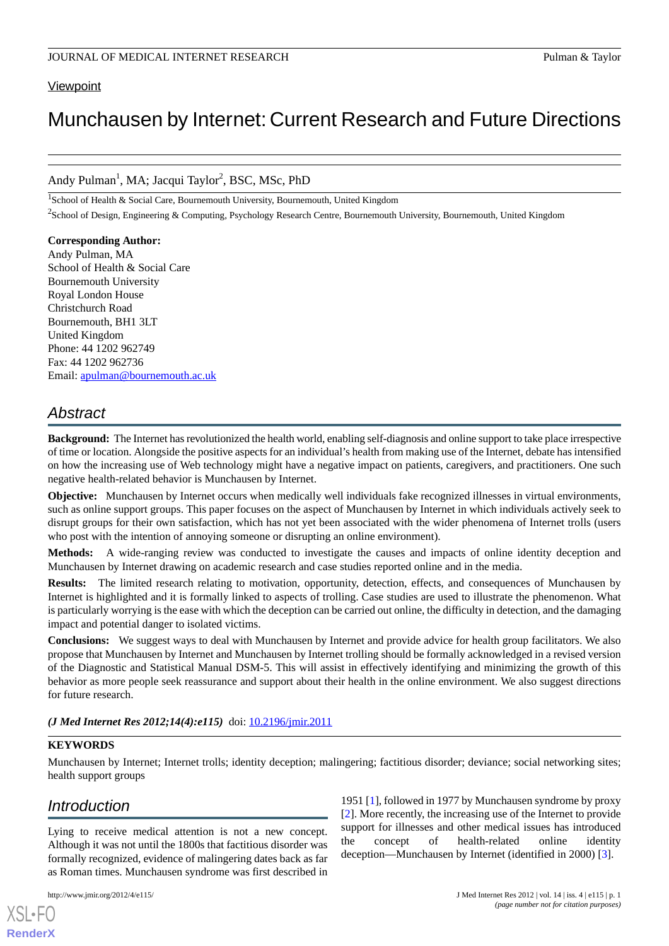# **Viewpoint**

# Munchausen by Internet: Current Research and Future Directions

# Andy Pulman<sup>1</sup>, MA; Jacqui Taylor<sup>2</sup>, BSC, MSc, PhD

<sup>1</sup>School of Health & Social Care, Bournemouth University, Bournemouth, United Kingdom

<sup>2</sup>School of Design, Engineering & Computing, Psychology Research Centre, Bournemouth University, Bournemouth, United Kingdom

**Corresponding Author:** Andy Pulman, MA School of Health & Social Care Bournemouth University Royal London House Christchurch Road Bournemouth, BH1 3LT United Kingdom Phone: 44 1202 962749 Fax: 44 1202 962736 Email: [apulman@bournemouth.ac.uk](mailto:apulman@bournemouth.ac.uk)

# *Abstract*

**Background:** The Internet has revolutionized the health world, enabling self-diagnosis and online support to take place irrespective of time or location. Alongside the positive aspects for an individual's health from making use of the Internet, debate has intensified on how the increasing use of Web technology might have a negative impact on patients, caregivers, and practitioners. One such negative health-related behavior is Munchausen by Internet.

**Objective:** Munchausen by Internet occurs when medically well individuals fake recognized illnesses in virtual environments, such as online support groups. This paper focuses on the aspect of Munchausen by Internet in which individuals actively seek to disrupt groups for their own satisfaction, which has not yet been associated with the wider phenomena of Internet trolls (users who post with the intention of annoying someone or disrupting an online environment).

**Methods:** A wide-ranging review was conducted to investigate the causes and impacts of online identity deception and Munchausen by Internet drawing on academic research and case studies reported online and in the media.

**Results:** The limited research relating to motivation, opportunity, detection, effects, and consequences of Munchausen by Internet is highlighted and it is formally linked to aspects of trolling. Case studies are used to illustrate the phenomenon. What is particularly worrying is the ease with which the deception can be carried out online, the difficulty in detection, and the damaging impact and potential danger to isolated victims.

**Conclusions:** We suggest ways to deal with Munchausen by Internet and provide advice for health group facilitators. We also propose that Munchausen by Internet and Munchausen by Internet trolling should be formally acknowledged in a revised version of the Diagnostic and Statistical Manual DSM-5. This will assist in effectively identifying and minimizing the growth of this behavior as more people seek reassurance and support about their health in the online environment. We also suggest directions for future research.

*(J Med Internet Res 2012;14(4):e115)* doi: [10.2196/jmir.2011](http://dx.doi.org/10.2196/jmir.2011)

#### **KEYWORDS**

Munchausen by Internet; Internet trolls; identity deception; malingering; factitious disorder; deviance; social networking sites; health support groups

# *Introduction*

Lying to receive medical attention is not a new concept. Although it was not until the 1800s that factitious disorder was formally recognized, evidence of malingering dates back as far as Roman times. Munchausen syndrome was first described in

[XSL](http://www.w3.org/Style/XSL)•FO **[RenderX](http://www.renderx.com/)**

[[2\]](#page-7-1). More recently, the increasing use of the Internet to provide support for illnesses and other medical issues has introduced the concept of health-related online identity deception—Munchausen by Internet (identified in 2000) [[3\]](#page-7-2).

1951 [[1\]](#page-7-0), followed in 1977 by Munchausen syndrome by proxy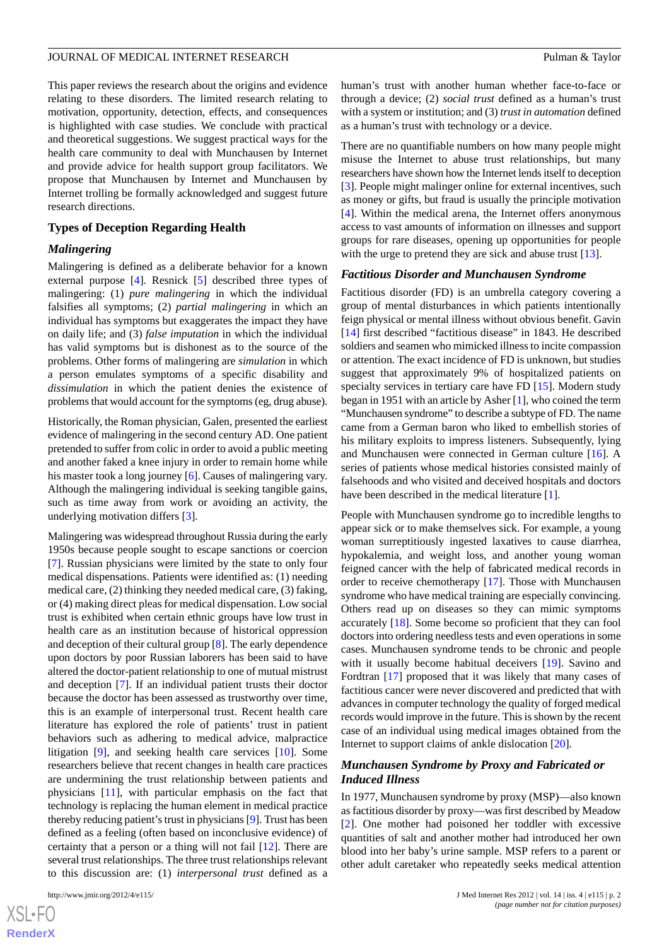This paper reviews the research about the origins and evidence relating to these disorders. The limited research relating to motivation, opportunity, detection, effects, and consequences is highlighted with case studies. We conclude with practical and theoretical suggestions. We suggest practical ways for the health care community to deal with Munchausen by Internet and provide advice for health support group facilitators. We propose that Munchausen by Internet and Munchausen by Internet trolling be formally acknowledged and suggest future research directions.

#### **Types of Deception Regarding Health**

#### *Malingering*

Malingering is defined as a deliberate behavior for a known external purpose [[4](#page-7-3)]. Resnick [[5\]](#page-7-4) described three types of malingering: (1) *pure malingering* in which the individual falsifies all symptoms; (2) *partial malingering* in which an individual has symptoms but exaggerates the impact they have on daily life; and (3) *false imputation* in which the individual has valid symptoms but is dishonest as to the source of the problems. Other forms of malingering are *simulation* in which a person emulates symptoms of a specific disability and *dissimulation* in which the patient denies the existence of problems that would account for the symptoms (eg, drug abuse).

Historically, the Roman physician, Galen, presented the earliest evidence of malingering in the second century AD. One patient pretended to suffer from colic in order to avoid a public meeting and another faked a knee injury in order to remain home while his master took a long journey [[6\]](#page-8-0). Causes of malingering vary. Although the malingering individual is seeking tangible gains, such as time away from work or avoiding an activity, the underlying motivation differs [\[3](#page-7-2)].

Malingering was widespread throughout Russia during the early 1950s because people sought to escape sanctions or coercion [[7\]](#page-8-1). Russian physicians were limited by the state to only four medical dispensations. Patients were identified as: (1) needing medical care, (2) thinking they needed medical care, (3) faking, or (4) making direct pleas for medical dispensation. Low social trust is exhibited when certain ethnic groups have low trust in health care as an institution because of historical oppression and deception of their cultural group [[8\]](#page-8-2). The early dependence upon doctors by poor Russian laborers has been said to have altered the doctor-patient relationship to one of mutual mistrust and deception [\[7](#page-8-1)]. If an individual patient trusts their doctor because the doctor has been assessed as trustworthy over time, this is an example of interpersonal trust. Recent health care literature has explored the role of patients' trust in patient behaviors such as adhering to medical advice, malpractice litigation [[9\]](#page-8-3), and seeking health care services [\[10](#page-8-4)]. Some researchers believe that recent changes in health care practices are undermining the trust relationship between patients and physicians [\[11](#page-8-5)], with particular emphasis on the fact that technology is replacing the human element in medical practice thereby reducing patient's trust in physicians [\[9\]](#page-8-3). Trust has been defined as a feeling (often based on inconclusive evidence) of certainty that a person or a thing will not fail [[12\]](#page-8-6). There are several trust relationships. The three trust relationships relevant to this discussion are: (1) *interpersonal trust* defined as a

[XSL](http://www.w3.org/Style/XSL)•FO **[RenderX](http://www.renderx.com/)** human's trust with another human whether face-to-face or through a device; (2) *social trust* defined as a human's trust with a system or institution; and (3) *trust in automation* defined as a human's trust with technology or a device.

There are no quantifiable numbers on how many people might misuse the Internet to abuse trust relationships, but many researchers have shown how the Internet lends itself to deception [[3\]](#page-7-2). People might malinger online for external incentives, such as money or gifts, but fraud is usually the principle motivation [[4\]](#page-7-3). Within the medical arena, the Internet offers anonymous access to vast amounts of information on illnesses and support groups for rare diseases, opening up opportunities for people with the urge to pretend they are sick and abuse trust [\[13](#page-8-7)].

#### *Factitious Disorder and Munchausen Syndrome*

Factitious disorder (FD) is an umbrella category covering a group of mental disturbances in which patients intentionally feign physical or mental illness without obvious benefit. Gavin [[14\]](#page-8-8) first described "factitious disease" in 1843. He described soldiers and seamen who mimicked illness to incite compassion or attention. The exact incidence of FD is unknown, but studies suggest that approximately 9% of hospitalized patients on specialty services in tertiary care have FD [\[15](#page-8-9)]. Modern study began in 1951 with an article by Asher [[1\]](#page-7-0), who coined the term "Munchausen syndrome" to describe a subtype of FD. The name came from a German baron who liked to embellish stories of his military exploits to impress listeners. Subsequently, lying and Munchausen were connected in German culture [\[16](#page-8-10)]. A series of patients whose medical histories consisted mainly of falsehoods and who visited and deceived hospitals and doctors have been described in the medical literature [[1\]](#page-7-0).

People with Munchausen syndrome go to incredible lengths to appear sick or to make themselves sick. For example, a young woman surreptitiously ingested laxatives to cause diarrhea, hypokalemia, and weight loss, and another young woman feigned cancer with the help of fabricated medical records in order to receive chemotherapy [[17\]](#page-8-11). Those with Munchausen syndrome who have medical training are especially convincing. Others read up on diseases so they can mimic symptoms accurately [[18\]](#page-8-12). Some become so proficient that they can fool doctors into ordering needless tests and even operations in some cases. Munchausen syndrome tends to be chronic and people with it usually become habitual deceivers [\[19](#page-8-13)]. Savino and Fordtran [[17\]](#page-8-11) proposed that it was likely that many cases of factitious cancer were never discovered and predicted that with advances in computer technology the quality of forged medical records would improve in the future. This is shown by the recent case of an individual using medical images obtained from the Internet to support claims of ankle dislocation [\[20](#page-8-14)].

#### *Munchausen Syndrome by Proxy and Fabricated or Induced Illness*

In 1977, Munchausen syndrome by proxy (MSP)—also known as factitious disorder by proxy—was first described by Meadow [[2\]](#page-7-1). One mother had poisoned her toddler with excessive quantities of salt and another mother had introduced her own blood into her baby's urine sample. MSP refers to a parent or other adult caretaker who repeatedly seeks medical attention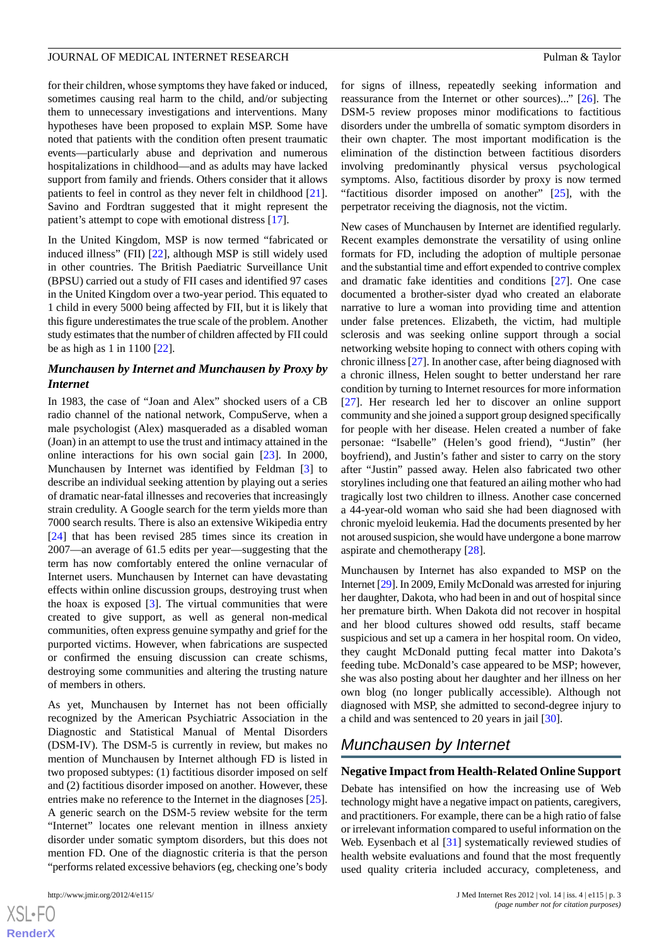for their children, whose symptoms they have faked or induced, sometimes causing real harm to the child, and/or subjecting them to unnecessary investigations and interventions. Many hypotheses have been proposed to explain MSP. Some have noted that patients with the condition often present traumatic events—particularly abuse and deprivation and numerous hospitalizations in childhood—and as adults may have lacked support from family and friends. Others consider that it allows patients to feel in control as they never felt in childhood [[21\]](#page-8-15). Savino and Fordtran suggested that it might represent the patient's attempt to cope with emotional distress [[17\]](#page-8-11).

In the United Kingdom, MSP is now termed "fabricated or induced illness" (FII) [\[22](#page-8-16)], although MSP is still widely used in other countries. The British Paediatric Surveillance Unit (BPSU) carried out a study of FII cases and identified 97 cases in the United Kingdom over a two-year period. This equated to 1 child in every 5000 being affected by FII, but it is likely that this figure underestimates the true scale of the problem. Another study estimates that the number of children affected by FII could be as high as 1 in 1100 [\[22](#page-8-16)].

## *Munchausen by Internet and Munchausen by Proxy by Internet*

In 1983, the case of "Joan and Alex" shocked users of a CB radio channel of the national network, CompuServe, when a male psychologist (Alex) masqueraded as a disabled woman (Joan) in an attempt to use the trust and intimacy attained in the online interactions for his own social gain [[23\]](#page-8-17). In 2000, Munchausen by Internet was identified by Feldman [[3\]](#page-7-2) to describe an individual seeking attention by playing out a series of dramatic near-fatal illnesses and recoveries that increasingly strain credulity. A Google search for the term yields more than 7000 search results. There is also an extensive Wikipedia entry [[24\]](#page-8-18) that has been revised 285 times since its creation in 2007—an average of 61.5 edits per year—suggesting that the term has now comfortably entered the online vernacular of Internet users. Munchausen by Internet can have devastating effects within online discussion groups, destroying trust when the hoax is exposed [[3\]](#page-7-2). The virtual communities that were created to give support, as well as general non-medical communities, often express genuine sympathy and grief for the purported victims. However, when fabrications are suspected or confirmed the ensuing discussion can create schisms, destroying some communities and altering the trusting nature of members in others.

As yet, Munchausen by Internet has not been officially recognized by the American Psychiatric Association in the Diagnostic and Statistical Manual of Mental Disorders (DSM-IV). The DSM-5 is currently in review, but makes no mention of Munchausen by Internet although FD is listed in two proposed subtypes: (1) factitious disorder imposed on self and (2) factitious disorder imposed on another*.* However, these entries make no reference to the Internet in the diagnoses [[25\]](#page-8-19). A generic search on the DSM-5 review website for the term "Internet" locates one relevant mention in illness anxiety disorder under somatic symptom disorders, but this does not mention FD. One of the diagnostic criteria is that the person "performs related excessive behaviors (eg, checking one's body

 $XSJ \cdot F$ **[RenderX](http://www.renderx.com/)** for signs of illness, repeatedly seeking information and reassurance from the Internet or other sources)..." [\[26](#page-8-20)]. The DSM-5 review proposes minor modifications to factitious disorders under the umbrella of somatic symptom disorders in their own chapter. The most important modification is the elimination of the distinction between factitious disorders involving predominantly physical versus psychological symptoms. Also, factitious disorder by proxy is now termed "factitious disorder imposed on another"  $[25]$  $[25]$ , with the perpetrator receiving the diagnosis, not the victim.

New cases of Munchausen by Internet are identified regularly. Recent examples demonstrate the versatility of using online formats for FD, including the adoption of multiple personae and the substantial time and effort expended to contrive complex and dramatic fake identities and conditions [[27\]](#page-8-21). One case documented a brother-sister dyad who created an elaborate narrative to lure a woman into providing time and attention under false pretences. Elizabeth, the victim, had multiple sclerosis and was seeking online support through a social networking website hoping to connect with others coping with chronic illness [\[27](#page-8-21)]. In another case, after being diagnosed with a chronic illness, Helen sought to better understand her rare condition by turning to Internet resources for more information [[27\]](#page-8-21). Her research led her to discover an online support community and she joined a support group designed specifically for people with her disease. Helen created a number of fake personae: "Isabelle" (Helen's good friend), "Justin" (her boyfriend), and Justin's father and sister to carry on the story after "Justin" passed away. Helen also fabricated two other storylines including one that featured an ailing mother who had tragically lost two children to illness. Another case concerned a 44-year-old woman who said she had been diagnosed with chronic myeloid leukemia. Had the documents presented by her not aroused suspicion, she would have undergone a bone marrow aspirate and chemotherapy [[28\]](#page-8-22).

Munchausen by Internet has also expanded to MSP on the Internet [[29\]](#page-8-23). In 2009, Emily McDonald was arrested for injuring her daughter, Dakota, who had been in and out of hospital since her premature birth. When Dakota did not recover in hospital and her blood cultures showed odd results, staff became suspicious and set up a camera in her hospital room. On video, they caught McDonald putting fecal matter into Dakota's feeding tube. McDonald's case appeared to be MSP; however, she was also posting about her daughter and her illness on her own blog (no longer publically accessible). Although not diagnosed with MSP, she admitted to second-degree injury to a child and was sentenced to 20 years in jail [\[30](#page-8-24)].

# *Munchausen by Internet*

#### **Negative Impact from Health-Related Online Support**

Debate has intensified on how the increasing use of Web technology might have a negative impact on patients, caregivers, and practitioners. For example, there can be a high ratio of false or irrelevant information compared to useful information on the Web. Eysenbach et al [\[31](#page-8-25)] systematically reviewed studies of health website evaluations and found that the most frequently used quality criteria included accuracy, completeness, and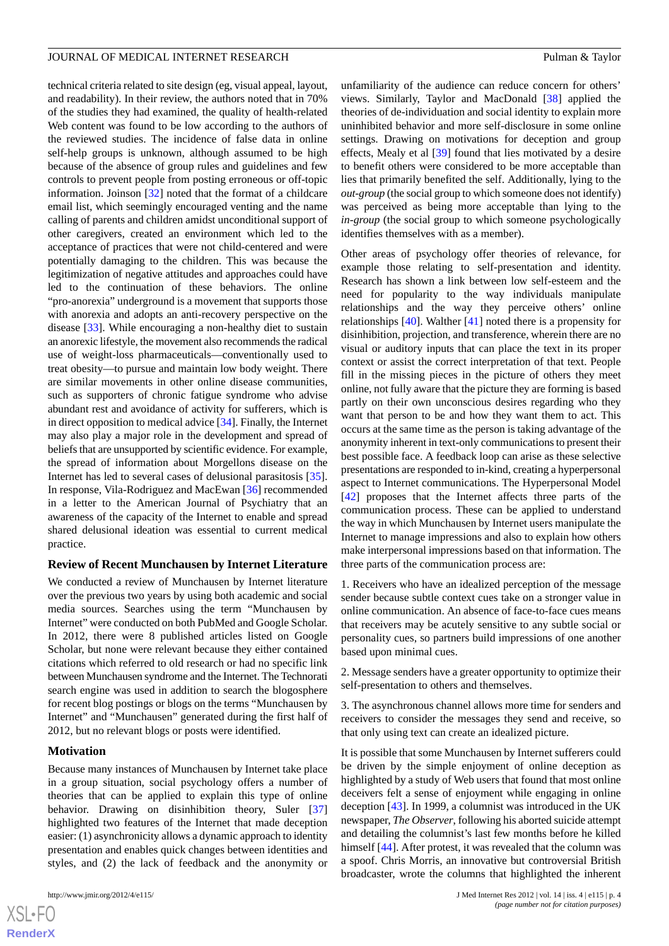technical criteria related to site design (eg, visual appeal, layout, and readability). In their review, the authors noted that in 70% of the studies they had examined, the quality of health-related Web content was found to be low according to the authors of the reviewed studies. The incidence of false data in online self-help groups is unknown, although assumed to be high because of the absence of group rules and guidelines and few controls to prevent people from posting erroneous or off-topic information. Joinson [\[32](#page-8-26)] noted that the format of a childcare email list, which seemingly encouraged venting and the name calling of parents and children amidst unconditional support of other caregivers, created an environment which led to the acceptance of practices that were not child-centered and were potentially damaging to the children. This was because the legitimization of negative attitudes and approaches could have led to the continuation of these behaviors. The online "pro-anorexia" underground is a movement that supports those with anorexia and adopts an anti-recovery perspective on the disease [[33\]](#page-8-27). While encouraging a non-healthy diet to sustain an anorexic lifestyle, the movement also recommends the radical use of weight-loss pharmaceuticals—conventionally used to treat obesity—to pursue and maintain low body weight. There are similar movements in other online disease communities, such as supporters of chronic fatigue syndrome who advise abundant rest and avoidance of activity for sufferers, which is in direct opposition to medical advice [\[34](#page-9-0)]. Finally, the Internet may also play a major role in the development and spread of beliefs that are unsupported by scientific evidence. For example, the spread of information about Morgellons disease on the Internet has led to several cases of delusional parasitosis [[35\]](#page-9-1). In response, Vila-Rodriguez and MacEwan [\[36](#page-9-2)] recommended in a letter to the American Journal of Psychiatry that an awareness of the capacity of the Internet to enable and spread shared delusional ideation was essential to current medical practice.

#### **Review of Recent Munchausen by Internet Literature**

We conducted a review of Munchausen by Internet literature over the previous two years by using both academic and social media sources. Searches using the term "Munchausen by Internet" were conducted on both PubMed and Google Scholar. In 2012, there were 8 published articles listed on Google Scholar, but none were relevant because they either contained citations which referred to old research or had no specific link between Munchausen syndrome and the Internet. The Technorati search engine was used in addition to search the blogosphere for recent blog postings or blogs on the terms "Munchausen by Internet" and "Munchausen" generated during the first half of 2012, but no relevant blogs or posts were identified.

#### **Motivation**

Because many instances of Munchausen by Internet take place in a group situation, social psychology offers a number of theories that can be applied to explain this type of online behavior. Drawing on disinhibition theory, Suler [\[37](#page-9-3)] highlighted two features of the Internet that made deception easier: (1) asynchronicity allows a dynamic approach to identity presentation and enables quick changes between identities and styles, and (2) the lack of feedback and the anonymity or

[XSL](http://www.w3.org/Style/XSL)•FO **[RenderX](http://www.renderx.com/)** unfamiliarity of the audience can reduce concern for others' views. Similarly, Taylor and MacDonald [[38\]](#page-9-4) applied the theories of de-individuation and social identity to explain more uninhibited behavior and more self-disclosure in some online settings. Drawing on motivations for deception and group effects, Mealy et al [\[39](#page-9-5)] found that lies motivated by a desire to benefit others were considered to be more acceptable than lies that primarily benefited the self. Additionally, lying to the *out-group* (the social group to which someone does not identify) was perceived as being more acceptable than lying to the *in-group* (the social group to which someone psychologically identifies themselves with as a member).

Other areas of psychology offer theories of relevance, for example those relating to self-presentation and identity. Research has shown a link between low self-esteem and the need for popularity to the way individuals manipulate relationships and the way they perceive others' online relationships [[40\]](#page-9-6). Walther [\[41](#page-9-7)] noted there is a propensity for disinhibition, projection, and transference, wherein there are no visual or auditory inputs that can place the text in its proper context or assist the correct interpretation of that text. People fill in the missing pieces in the picture of others they meet online, not fully aware that the picture they are forming is based partly on their own unconscious desires regarding who they want that person to be and how they want them to act. This occurs at the same time as the person is taking advantage of the anonymity inherent in text-only communications to present their best possible face. A feedback loop can arise as these selective presentations are responded to in-kind, creating a hyperpersonal aspect to Internet communications. The Hyperpersonal Model [[42\]](#page-9-8) proposes that the Internet affects three parts of the communication process. These can be applied to understand the way in which Munchausen by Internet users manipulate the Internet to manage impressions and also to explain how others make interpersonal impressions based on that information. The three parts of the communication process are:

1. Receivers who have an idealized perception of the message sender because subtle context cues take on a stronger value in online communication. An absence of face-to-face cues means that receivers may be acutely sensitive to any subtle social or personality cues, so partners build impressions of one another based upon minimal cues.

2. Message senders have a greater opportunity to optimize their self-presentation to others and themselves.

3. The asynchronous channel allows more time for senders and receivers to consider the messages they send and receive, so that only using text can create an idealized picture.

It is possible that some Munchausen by Internet sufferers could be driven by the simple enjoyment of online deception as highlighted by a study of Web users that found that most online deceivers felt a sense of enjoyment while engaging in online deception [\[43](#page-9-9)]. In 1999, a columnist was introduced in the UK newspaper, *The Observer*, following his aborted suicide attempt and detailing the columnist's last few months before he killed himself [\[44](#page-9-10)]. After protest, it was revealed that the column was a spoof. Chris Morris, an innovative but controversial British broadcaster, wrote the columns that highlighted the inherent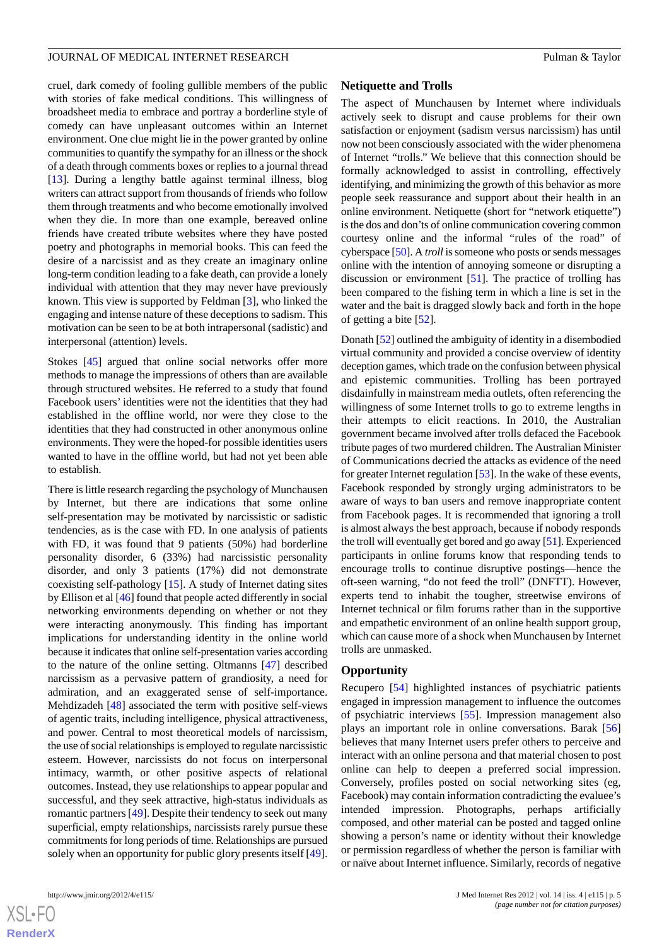cruel, dark comedy of fooling gullible members of the public with stories of fake medical conditions. This willingness of broadsheet media to embrace and portray a borderline style of comedy can have unpleasant outcomes within an Internet environment. One clue might lie in the power granted by online communities to quantify the sympathy for an illness or the shock of a death through comments boxes or replies to a journal thread [[13\]](#page-8-7). During a lengthy battle against terminal illness, blog writers can attract support from thousands of friends who follow them through treatments and who become emotionally involved when they die. In more than one example, bereaved online friends have created tribute websites where they have posted poetry and photographs in memorial books. This can feed the desire of a narcissist and as they create an imaginary online long-term condition leading to a fake death, can provide a lonely individual with attention that they may never have previously known. This view is supported by Feldman [[3](#page-7-2)], who linked the engaging and intense nature of these deceptions to sadism. This motivation can be seen to be at both intrapersonal (sadistic) and interpersonal (attention) levels.

Stokes [\[45](#page-9-11)] argued that online social networks offer more methods to manage the impressions of others than are available through structured websites. He referred to a study that found Facebook users' identities were not the identities that they had established in the offline world, nor were they close to the identities that they had constructed in other anonymous online environments. They were the hoped-for possible identities users wanted to have in the offline world, but had not yet been able to establish.

There is little research regarding the psychology of Munchausen by Internet, but there are indications that some online self-presentation may be motivated by narcissistic or sadistic tendencies, as is the case with FD. In one analysis of patients with FD, it was found that 9 patients (50%) had borderline personality disorder, 6 (33%) had narcissistic personality disorder, and only 3 patients (17%) did not demonstrate coexisting self-pathology [[15\]](#page-8-9). A study of Internet dating sites by Ellison et al [\[46](#page-9-12)] found that people acted differently in social networking environments depending on whether or not they were interacting anonymously. This finding has important implications for understanding identity in the online world because it indicates that online self-presentation varies according to the nature of the online setting. Oltmanns [\[47](#page-9-13)] described narcissism as a pervasive pattern of grandiosity, a need for admiration, and an exaggerated sense of self-importance. Mehdizadeh [\[48](#page-9-14)] associated the term with positive self-views of agentic traits, including intelligence, physical attractiveness, and power. Central to most theoretical models of narcissism, the use of social relationships is employed to regulate narcissistic esteem. However, narcissists do not focus on interpersonal intimacy, warmth, or other positive aspects of relational outcomes. Instead, they use relationships to appear popular and successful, and they seek attractive, high-status individuals as romantic partners [\[49](#page-9-15)]. Despite their tendency to seek out many superficial, empty relationships, narcissists rarely pursue these commitments for long periods of time. Relationships are pursued solely when an opportunity for public glory presents itself [[49\]](#page-9-15).

[XSL](http://www.w3.org/Style/XSL)•FO **[RenderX](http://www.renderx.com/)**

#### **Netiquette and Trolls**

The aspect of Munchausen by Internet where individuals actively seek to disrupt and cause problems for their own satisfaction or enjoyment (sadism versus narcissism) has until now not been consciously associated with the wider phenomena of Internet "trolls." We believe that this connection should be formally acknowledged to assist in controlling, effectively identifying, and minimizing the growth of this behavior as more people seek reassurance and support about their health in an online environment. Netiquette (short for "network etiquette") is the dos and don'ts of online communication covering common courtesy online and the informal "rules of the road" of cyberspace [\[50\]](#page-9-16). A *troll*is someone who posts or sends messages online with the intention of annoying someone or disrupting a discussion or environment [[51\]](#page-9-17). The practice of trolling has been compared to the fishing term in which a line is set in the water and the bait is dragged slowly back and forth in the hope of getting a bite [\[52](#page-9-18)].

Donath [\[52\]](#page-9-18) outlined the ambiguity of identity in a disembodied virtual community and provided a concise overview of identity deception games, which trade on the confusion between physical and epistemic communities. Trolling has been portrayed disdainfully in mainstream media outlets, often referencing the willingness of some Internet trolls to go to extreme lengths in their attempts to elicit reactions. In 2010, the Australian government became involved after trolls defaced the Facebook tribute pages of two murdered children. The Australian Minister of Communications decried the attacks as evidence of the need for greater Internet regulation [\[53](#page-9-19)]. In the wake of these events, Facebook responded by strongly urging administrators to be aware of ways to ban users and remove inappropriate content from Facebook pages. It is recommended that ignoring a troll is almost always the best approach, because if nobody responds the troll will eventually get bored and go away [\[51](#page-9-17)]. Experienced participants in online forums know that responding tends to encourage trolls to continue disruptive postings—hence the oft-seen warning, "do not feed the troll" (DNFTT). However, experts tend to inhabit the tougher, streetwise environs of Internet technical or film forums rather than in the supportive and empathetic environment of an online health support group, which can cause more of a shock when Munchausen by Internet trolls are unmasked.

#### **Opportunity**

Recupero [\[54](#page-9-20)] highlighted instances of psychiatric patients engaged in impression management to influence the outcomes of psychiatric interviews [[55\]](#page-9-21). Impression management also plays an important role in online conversations. Barak [\[56](#page-9-22)] believes that many Internet users prefer others to perceive and interact with an online persona and that material chosen to post online can help to deepen a preferred social impression. Conversely, profiles posted on social networking sites (eg, Facebook) may contain information contradicting the evaluee's intended impression. Photographs, perhaps artificially composed, and other material can be posted and tagged online showing a person's name or identity without their knowledge or permission regardless of whether the person is familiar with or naïve about Internet influence. Similarly, records of negative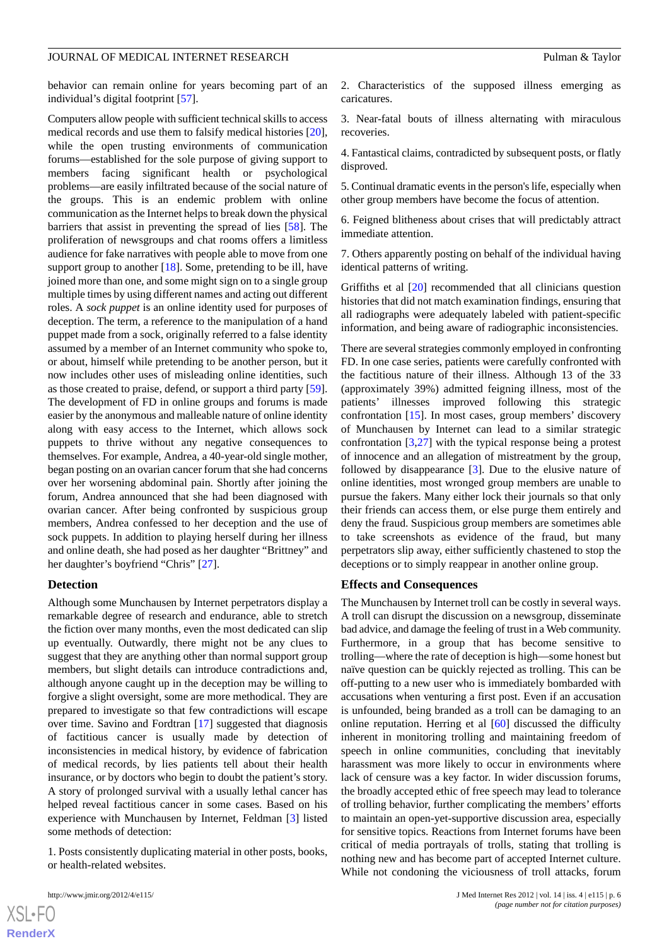behavior can remain online for years becoming part of an individual's digital footprint [[57\]](#page-9-23).

Computers allow people with sufficient technical skills to access medical records and use them to falsify medical histories [[20\]](#page-8-14), while the open trusting environments of communication forums—established for the sole purpose of giving support to members facing significant health or psychological problems—are easily infiltrated because of the social nature of the groups. This is an endemic problem with online communication as the Internet helps to break down the physical barriers that assist in preventing the spread of lies [[58\]](#page-9-24). The proliferation of newsgroups and chat rooms offers a limitless audience for fake narratives with people able to move from one support group to another [[18\]](#page-8-12). Some, pretending to be ill, have joined more than one, and some might sign on to a single group multiple times by using different names and acting out different roles. A *sock puppet* is an online identity used for purposes of deception. The term, a reference to the manipulation of a hand puppet made from a sock, originally referred to a false identity assumed by a member of an Internet community who spoke to, or about, himself while pretending to be another person, but it now includes other uses of misleading online identities, such as those created to praise, defend, or support a third party [[59\]](#page-9-25). The development of FD in online groups and forums is made easier by the anonymous and malleable nature of online identity along with easy access to the Internet, which allows sock puppets to thrive without any negative consequences to themselves. For example, Andrea, a 40-year-old single mother, began posting on an ovarian cancer forum that she had concerns over her worsening abdominal pain. Shortly after joining the forum, Andrea announced that she had been diagnosed with ovarian cancer. After being confronted by suspicious group members, Andrea confessed to her deception and the use of sock puppets. In addition to playing herself during her illness and online death, she had posed as her daughter "Brittney" and her daughter's boyfriend "Chris" [[27\]](#page-8-21).

#### **Detection**

Although some Munchausen by Internet perpetrators display a remarkable degree of research and endurance, able to stretch the fiction over many months, even the most dedicated can slip up eventually. Outwardly, there might not be any clues to suggest that they are anything other than normal support group members, but slight details can introduce contradictions and, although anyone caught up in the deception may be willing to forgive a slight oversight, some are more methodical. They are prepared to investigate so that few contradictions will escape over time. Savino and Fordtran [\[17](#page-8-11)] suggested that diagnosis of factitious cancer is usually made by detection of inconsistencies in medical history, by evidence of fabrication of medical records, by lies patients tell about their health insurance, or by doctors who begin to doubt the patient's story. A story of prolonged survival with a usually lethal cancer has helped reveal factitious cancer in some cases. Based on his experience with Munchausen by Internet, Feldman [\[3](#page-7-2)] listed some methods of detection:

1. Posts consistently duplicating material in other posts, books, or health-related websites.

2. Characteristics of the supposed illness emerging as caricatures.

3. Near-fatal bouts of illness alternating with miraculous recoveries.

4. Fantastical claims, contradicted by subsequent posts, or flatly disproved.

5. Continual dramatic events in the person's life, especially when other group members have become the focus of attention.

6. Feigned blitheness about crises that will predictably attract immediate attention.

7. Others apparently posting on behalf of the individual having identical patterns of writing.

Griffiths et al [[20\]](#page-8-14) recommended that all clinicians question histories that did not match examination findings, ensuring that all radiographs were adequately labeled with patient-specific information, and being aware of radiographic inconsistencies.

There are several strategies commonly employed in confronting FD. In one case series, patients were carefully confronted with the factitious nature of their illness. Although 13 of the 33 (approximately 39%) admitted feigning illness, most of the patients' illnesses improved following this strategic confrontation [\[15](#page-8-9)]. In most cases, group members' discovery of Munchausen by Internet can lead to a similar strategic confrontation [[3,](#page-7-2)[27\]](#page-8-21) with the typical response being a protest of innocence and an allegation of mistreatment by the group, followed by disappearance [[3\]](#page-7-2). Due to the elusive nature of online identities, most wronged group members are unable to pursue the fakers. Many either lock their journals so that only their friends can access them, or else purge them entirely and deny the fraud. Suspicious group members are sometimes able to take screenshots as evidence of the fraud, but many perpetrators slip away, either sufficiently chastened to stop the deceptions or to simply reappear in another online group.

#### **Effects and Consequences**

The Munchausen by Internet troll can be costly in several ways. A troll can disrupt the discussion on a newsgroup, disseminate bad advice, and damage the feeling of trust in a Web community. Furthermore, in a group that has become sensitive to trolling—where the rate of deception is high—some honest but naïve question can be quickly rejected as trolling. This can be off-putting to a new user who is immediately bombarded with accusations when venturing a first post. Even if an accusation is unfounded, being branded as a troll can be damaging to an online reputation. Herring et al [\[60](#page-9-26)] discussed the difficulty inherent in monitoring trolling and maintaining freedom of speech in online communities, concluding that inevitably harassment was more likely to occur in environments where lack of censure was a key factor. In wider discussion forums, the broadly accepted ethic of free speech may lead to tolerance of trolling behavior, further complicating the members' efforts to maintain an open-yet-supportive discussion area, especially for sensitive topics. Reactions from Internet forums have been critical of media portrayals of trolls, stating that trolling is nothing new and has become part of accepted Internet culture. While not condoning the viciousness of troll attacks, forum

```
XSI - F(RenderX
```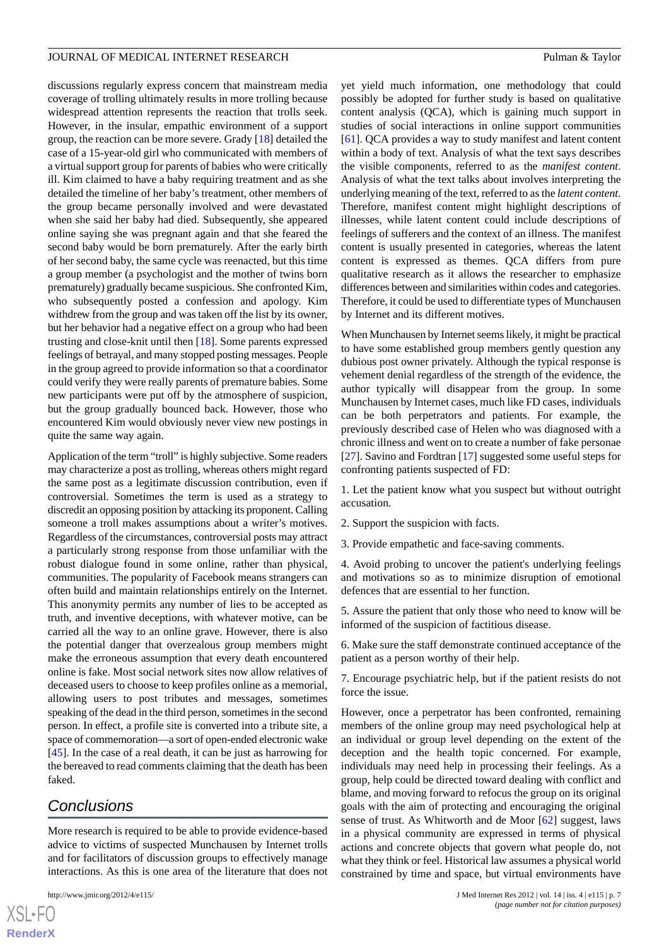discussions regularly express concern that mainstream media coverage of trolling ultimately results in more trolling because widespread attention represents the reaction that trolls seek. However, in the insular, empathic environment of a support group, the reaction can be more severe. Grady [\[18](#page-8-12)] detailed the case of a 15-year-old girl who communicated with members of a virtual support group for parents of babies who were critically ill. Kim claimed to have a baby requiring treatment and as she detailed the timeline of her baby's treatment, other members of the group became personally involved and were devastated when she said her baby had died. Subsequently, she appeared online saying she was pregnant again and that she feared the second baby would be born prematurely. After the early birth of her second baby, the same cycle was reenacted, but this time a group member (a psychologist and the mother of twins born prematurely) gradually became suspicious. She confronted Kim, who subsequently posted a confession and apology. Kim withdrew from the group and was taken off the list by its owner, but her behavior had a negative effect on a group who had been trusting and close-knit until then [[18\]](#page-8-12). Some parents expressed feelings of betrayal, and many stopped posting messages. People in the group agreed to provide information so that a coordinator could verify they were really parents of premature babies. Some new participants were put off by the atmosphere of suspicion, but the group gradually bounced back. However, those who encountered Kim would obviously never view new postings in quite the same way again.

Application of the term "troll" is highly subjective. Some readers may characterize a post as trolling, whereas others might regard the same post as a legitimate discussion contribution, even if controversial. Sometimes the term is used as a strategy to discredit an opposing position by attacking its proponent. Calling someone a troll makes assumptions about a writer's motives. Regardless of the circumstances, controversial posts may attract a particularly strong response from those unfamiliar with the robust dialogue found in some online, rather than physical, communities. The popularity of Facebook means strangers can often build and maintain relationships entirely on the Internet. This anonymity permits any number of lies to be accepted as truth, and inventive deceptions, with whatever motive, can be carried all the way to an online grave. However, there is also the potential danger that overzealous group members might make the erroneous assumption that every death encountered online is fake. Most social network sites now allow relatives of deceased users to choose to keep profiles online as a memorial, allowing users to post tributes and messages, sometimes speaking of the dead in the third person, sometimes in the second person. In effect, a profile site is converted into a tribute site, a space of commemoration—a sort of open-ended electronic wake [[45\]](#page-9-11). In the case of a real death, it can be just as harrowing for the bereaved to read comments claiming that the death has been faked.

# *Conclusions*

More research is required to be able to provide evidence-based advice to victims of suspected Munchausen by Internet trolls and for facilitators of discussion groups to effectively manage interactions. As this is one area of the literature that does not

[XSL](http://www.w3.org/Style/XSL)•FO **[RenderX](http://www.renderx.com/)** yet yield much information, one methodology that could possibly be adopted for further study is based on qualitative content analysis (QCA), which is gaining much support in studies of social interactions in online support communities [[61\]](#page-9-27). QCA provides a way to study manifest and latent content within a body of text. Analysis of what the text says describes the visible components, referred to as the *manifest content*. Analysis of what the text talks about involves interpreting the underlying meaning of the text, referred to as the *latent content*. Therefore, manifest content might highlight descriptions of illnesses, while latent content could include descriptions of feelings of sufferers and the context of an illness. The manifest content is usually presented in categories, whereas the latent content is expressed as themes. QCA differs from pure qualitative research as it allows the researcher to emphasize differences between and similarities within codes and categories. Therefore, it could be used to differentiate types of Munchausen by Internet and its different motives.

When Munchausen by Internet seems likely, it might be practical to have some established group members gently question any dubious post owner privately. Although the typical response is vehement denial regardless of the strength of the evidence, the author typically will disappear from the group. In some Munchausen by Internet cases, much like FD cases, individuals can be both perpetrators and patients. For example, the previously described case of Helen who was diagnosed with a chronic illness and went on to create a number of fake personae [[27\]](#page-8-21). Savino and Fordtran [[17\]](#page-8-11) suggested some useful steps for confronting patients suspected of FD:

1. Let the patient know what you suspect but without outright accusation.

- 2. Support the suspicion with facts.
- 3. Provide empathetic and face-saving comments.

4. Avoid probing to uncover the patient's underlying feelings and motivations so as to minimize disruption of emotional defences that are essential to her function.

5. Assure the patient that only those who need to know will be informed of the suspicion of factitious disease.

6. Make sure the staff demonstrate continued acceptance of the patient as a person worthy of their help.

7. Encourage psychiatric help, but if the patient resists do not force the issue.

However, once a perpetrator has been confronted, remaining members of the online group may need psychological help at an individual or group level depending on the extent of the deception and the health topic concerned. For example, individuals may need help in processing their feelings. As a group, help could be directed toward dealing with conflict and blame, and moving forward to refocus the group on its original goals with the aim of protecting and encouraging the original sense of trust. As Whitworth and de Moor [\[62](#page-9-28)] suggest, laws in a physical community are expressed in terms of physical actions and concrete objects that govern what people do, not what they think or feel. Historical law assumes a physical world constrained by time and space, but virtual environments have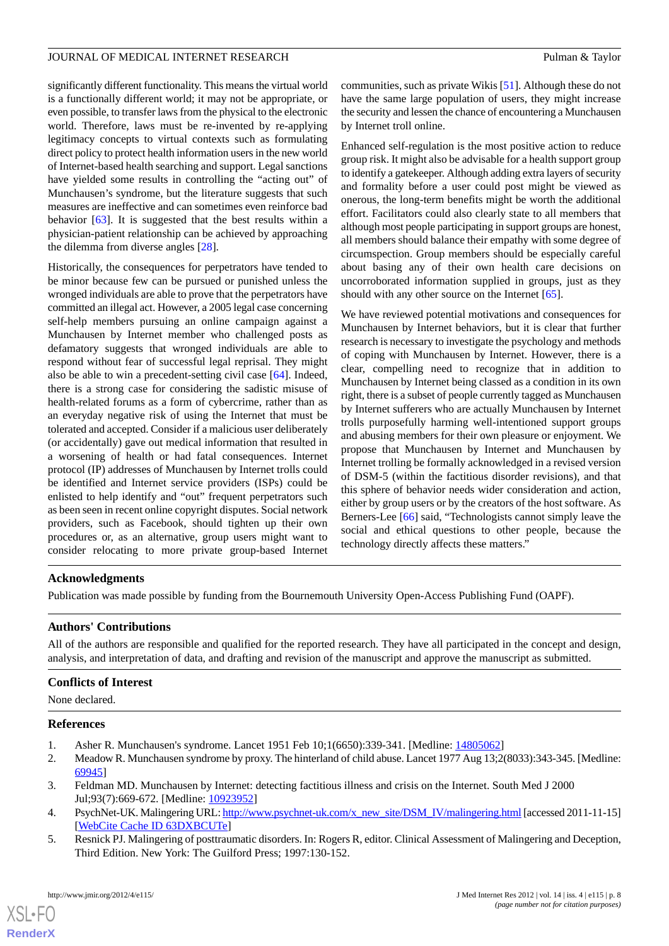significantly different functionality. This means the virtual world is a functionally different world; it may not be appropriate, or even possible, to transfer laws from the physical to the electronic world. Therefore, laws must be re-invented by re-applying legitimacy concepts to virtual contexts such as formulating direct policy to protect health information users in the new world of Internet-based health searching and support. Legal sanctions have yielded some results in controlling the "acting out" of Munchausen's syndrome, but the literature suggests that such measures are ineffective and can sometimes even reinforce bad behavior [[63\]](#page-9-29). It is suggested that the best results within a physician-patient relationship can be achieved by approaching the dilemma from diverse angles [\[28](#page-8-22)].

Historically, the consequences for perpetrators have tended to be minor because few can be pursued or punished unless the wronged individuals are able to prove that the perpetrators have committed an illegal act. However, a 2005 legal case concerning self-help members pursuing an online campaign against a Munchausen by Internet member who challenged posts as defamatory suggests that wronged individuals are able to respond without fear of successful legal reprisal. They might also be able to win a precedent-setting civil case [\[64](#page-10-0)]. Indeed, there is a strong case for considering the sadistic misuse of health-related forums as a form of cybercrime, rather than as an everyday negative risk of using the Internet that must be tolerated and accepted. Consider if a malicious user deliberately (or accidentally) gave out medical information that resulted in a worsening of health or had fatal consequences. Internet protocol (IP) addresses of Munchausen by Internet trolls could be identified and Internet service providers (ISPs) could be enlisted to help identify and "out" frequent perpetrators such as been seen in recent online copyright disputes. Social network providers, such as Facebook, should tighten up their own procedures or, as an alternative, group users might want to consider relocating to more private group-based Internet

communities, such as private Wikis [\[51](#page-9-17)]. Although these do not have the same large population of users, they might increase the security and lessen the chance of encountering a Munchausen by Internet troll online.

Enhanced self-regulation is the most positive action to reduce group risk. It might also be advisable for a health support group to identify a gatekeeper. Although adding extra layers of security and formality before a user could post might be viewed as onerous, the long-term benefits might be worth the additional effort. Facilitators could also clearly state to all members that although most people participating in support groups are honest, all members should balance their empathy with some degree of circumspection. Group members should be especially careful about basing any of their own health care decisions on uncorroborated information supplied in groups, just as they should with any other source on the Internet [[65\]](#page-10-1).

We have reviewed potential motivations and consequences for Munchausen by Internet behaviors, but it is clear that further research is necessary to investigate the psychology and methods of coping with Munchausen by Internet. However, there is a clear, compelling need to recognize that in addition to Munchausen by Internet being classed as a condition in its own right, there is a subset of people currently tagged as Munchausen by Internet sufferers who are actually Munchausen by Internet trolls purposefully harming well-intentioned support groups and abusing members for their own pleasure or enjoyment. We propose that Munchausen by Internet and Munchausen by Internet trolling be formally acknowledged in a revised version of DSM-5 (within the factitious disorder revisions), and that this sphere of behavior needs wider consideration and action, either by group users or by the creators of the host software. As Berners-Lee [[66\]](#page-10-2) said, "Technologists cannot simply leave the social and ethical questions to other people, because the technology directly affects these matters."

# **Acknowledgments**

Publication was made possible by funding from the Bournemouth University Open-Access Publishing Fund (OAPF).

# **Authors' Contributions**

All of the authors are responsible and qualified for the reported research. They have all participated in the concept and design, analysis, and interpretation of data, and drafting and revision of the manuscript and approve the manuscript as submitted.

# <span id="page-7-1"></span><span id="page-7-0"></span>**Conflicts of Interest**

<span id="page-7-2"></span>None declared.

#### <span id="page-7-3"></span>**References**

- 1. Asher R. Munchausen's syndrome. Lancet 1951 Feb 10;1(6650):339-341. [Medline: [14805062\]](http://www.ncbi.nlm.nih.gov/entrez/query.fcgi?cmd=Retrieve&db=PubMed&list_uids=14805062&dopt=Abstract)
- <span id="page-7-4"></span>2. Meadow R. Munchausen syndrome by proxy. The hinterland of child abuse. Lancet 1977 Aug 13;2(8033):343-345. [Medline: [69945\]](http://www.ncbi.nlm.nih.gov/entrez/query.fcgi?cmd=Retrieve&db=PubMed&list_uids=69945&dopt=Abstract)
- 3. Feldman MD. Munchausen by Internet: detecting factitious illness and crisis on the Internet. South Med J 2000 Jul;93(7):669-672. [Medline: [10923952\]](http://www.ncbi.nlm.nih.gov/entrez/query.fcgi?cmd=Retrieve&db=PubMed&list_uids=10923952&dopt=Abstract)
- 4. PsychNet-UK. Malingering URL: [http://www.psychnet-uk.com/x\\_new\\_site/DSM\\_IV/malingering.html](http://www.psychnet-uk.com/x_new_site/DSM_IV/malingering.html) [accessed 2011-11-15] [[WebCite Cache ID 63DXBCUTe](http://www.webcitation.org/

                                    63DXBCUTe)]
- 5. Resnick PJ. Malingering of posttraumatic disorders. In: Rogers R, editor. Clinical Assessment of Malingering and Deception, Third Edition. New York: The Guilford Press; 1997:130-152.

 $XS$  $\cdot$ FC **[RenderX](http://www.renderx.com/)**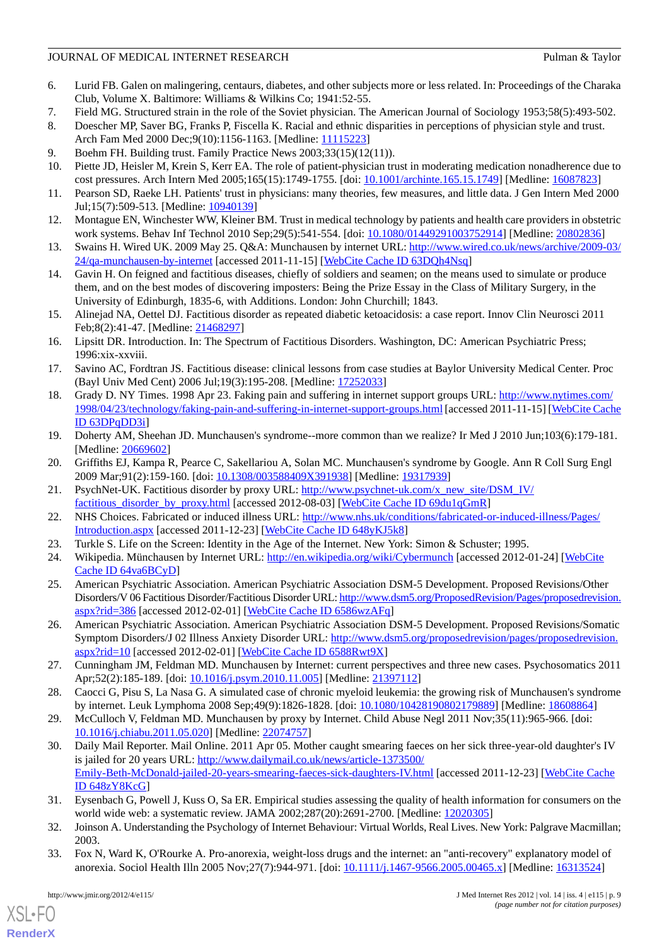## JOURNAL OF MEDICAL INTERNET RESEARCH **Pulman & Taylor** Pulman & Taylor

- <span id="page-8-0"></span>6. Lurid FB. Galen on malingering, centaurs, diabetes, and other subjects more or less related. In: Proceedings of the Charaka Club, Volume X. Baltimore: Williams & Wilkins Co; 1941:52-55.
- <span id="page-8-2"></span><span id="page-8-1"></span>7. Field MG. Structured strain in the role of the Soviet physician. The American Journal of Sociology 1953;58(5):493-502.
- <span id="page-8-3"></span>8. Doescher MP, Saver BG, Franks P, Fiscella K. Racial and ethnic disparities in perceptions of physician style and trust. Arch Fam Med 2000 Dec;9(10):1156-1163. [Medline: [11115223](http://www.ncbi.nlm.nih.gov/entrez/query.fcgi?cmd=Retrieve&db=PubMed&list_uids=11115223&dopt=Abstract)]
- <span id="page-8-4"></span>9. Boehm FH. Building trust. Family Practice News 2003;33(15)(12(11)).
- <span id="page-8-5"></span>10. Piette JD, Heisler M, Krein S, Kerr EA. The role of patient-physician trust in moderating medication nonadherence due to cost pressures. Arch Intern Med 2005;165(15):1749-1755. [doi: [10.1001/archinte.165.15.1749\]](http://dx.doi.org/10.1001/archinte.165.15.1749) [Medline: [16087823\]](http://www.ncbi.nlm.nih.gov/entrez/query.fcgi?cmd=Retrieve&db=PubMed&list_uids=16087823&dopt=Abstract)
- <span id="page-8-6"></span>11. Pearson SD, Raeke LH. Patients' trust in physicians: many theories, few measures, and little data. J Gen Intern Med 2000 Jul;15(7):509-513. [Medline: [10940139\]](http://www.ncbi.nlm.nih.gov/entrez/query.fcgi?cmd=Retrieve&db=PubMed&list_uids=10940139&dopt=Abstract)
- <span id="page-8-7"></span>12. Montague EN, Winchester WW, Kleiner BM. Trust in medical technology by patients and health care providers in obstetric work systems. Behav Inf Technol 2010 Sep;29(5):541-554. [doi: [10.1080/01449291003752914](http://dx.doi.org/10.1080/01449291003752914)] [Medline: [20802836](http://www.ncbi.nlm.nih.gov/entrez/query.fcgi?cmd=Retrieve&db=PubMed&list_uids=20802836&dopt=Abstract)]
- <span id="page-8-8"></span>13. Swains H. Wired UK. 2009 May 25. Q&A: Munchausen by internet URL: [http://www.wired.co.uk/news/archive/2009-03/](http://www.wired.co.uk/news/archive/2009-03/24/qa-munchausen-by-internet) [24/qa-munchausen-by-internet](http://www.wired.co.uk/news/archive/2009-03/24/qa-munchausen-by-internet) [accessed 2011-11-15] [\[WebCite Cache ID 63DQh4Nsq\]](http://www.webcitation.org/

                                    63DQh4Nsq)
- <span id="page-8-9"></span>14. Gavin H. On feigned and factitious diseases, chiefly of soldiers and seamen; on the means used to simulate or produce them, and on the best modes of discovering imposters: Being the Prize Essay in the Class of Military Surgery, in the University of Edinburgh, 1835-6, with Additions. London: John Churchill; 1843.
- <span id="page-8-10"></span>15. Alinejad NA, Oettel DJ. Factitious disorder as repeated diabetic ketoacidosis: a case report. Innov Clin Neurosci 2011 Feb;8(2):41-47. [Medline: [21468297](http://www.ncbi.nlm.nih.gov/entrez/query.fcgi?cmd=Retrieve&db=PubMed&list_uids=21468297&dopt=Abstract)]
- <span id="page-8-11"></span>16. Lipsitt DR. Introduction. In: The Spectrum of Factitious Disorders. Washington, DC: American Psychiatric Press; 1996:xix-xxviii.
- <span id="page-8-12"></span>17. Savino AC, Fordtran JS. Factitious disease: clinical lessons from case studies at Baylor University Medical Center. Proc (Bayl Univ Med Cent) 2006 Jul;19(3):195-208. [Medline: [17252033\]](http://www.ncbi.nlm.nih.gov/entrez/query.fcgi?cmd=Retrieve&db=PubMed&list_uids=17252033&dopt=Abstract)
- <span id="page-8-13"></span>18. Grady D. NY Times. 1998 Apr 23. Faking pain and suffering in internet support groups URL: [http://www.nytimes.com/](http://www.nytimes.com/1998/04/23/technology/faking-pain-and-suffering-in-internet-support-groups.html) [1998/04/23/technology/faking-pain-and-suffering-in-internet-support-groups.html](http://www.nytimes.com/1998/04/23/technology/faking-pain-and-suffering-in-internet-support-groups.html)[accessed 2011-11-15] [\[WebCite Cache](http://www.webcitation.org/

                                    63DPqDD3i) [ID 63DPqDD3i\]](http://www.webcitation.org/

                                    63DPqDD3i)
- <span id="page-8-15"></span><span id="page-8-14"></span>19. Doherty AM, Sheehan JD. Munchausen's syndrome--more common than we realize? Ir Med J 2010 Jun;103(6):179-181. [Medline: [20669602](http://www.ncbi.nlm.nih.gov/entrez/query.fcgi?cmd=Retrieve&db=PubMed&list_uids=20669602&dopt=Abstract)]
- <span id="page-8-16"></span>20. Griffiths EJ, Kampa R, Pearce C, Sakellariou A, Solan MC. Munchausen's syndrome by Google. Ann R Coll Surg Engl 2009 Mar;91(2):159-160. [doi: [10.1308/003588409X391938](http://dx.doi.org/10.1308/003588409X391938)] [Medline: [19317939\]](http://www.ncbi.nlm.nih.gov/entrez/query.fcgi?cmd=Retrieve&db=PubMed&list_uids=19317939&dopt=Abstract)
- <span id="page-8-18"></span><span id="page-8-17"></span>21. PsychNet-UK. Factitious disorder by proxy URL: [http://www.psychnet-uk.com/x\\_new\\_site/DSM\\_IV/](http://www.psychnet-uk.com/x_new_site/DSM_IV/factitious_disorder_by_proxy.html) [factitious\\_disorder\\_by\\_proxy.html](http://www.psychnet-uk.com/x_new_site/DSM_IV/factitious_disorder_by_proxy.html) [accessed 2012-08-03] [\[WebCite Cache ID 69du1qGmR\]](http://www.webcitation.org/

                                    69du1qGmR)
- <span id="page-8-19"></span>22. NHS Choices. Fabricated or induced illness URL: [http://www.nhs.uk/conditions/fabricated-or-induced-illness/Pages/](http://www.nhs.uk/conditions/fabricated-or-induced-illness/Pages/Introduction.aspx) [Introduction.aspx](http://www.nhs.uk/conditions/fabricated-or-induced-illness/Pages/Introduction.aspx) [accessed 2011-12-23] [[WebCite Cache ID 648yKJ5k8\]](http://www.webcitation.org/

                                    648yKJ5k8)
- 23. Turkle S. Life on the Screen: Identity in the Age of the Internet. New York: Simon & Schuster; 1995.
- <span id="page-8-20"></span>24. Wikipedia. Münchausen by Internet URL: <http://en.wikipedia.org/wiki/Cybermunch> [accessed 2012-01-24] [[WebCite](http://www.webcitation.org/

                                    64va6BCyD) [Cache ID 64va6BCyD\]](http://www.webcitation.org/

                                    64va6BCyD)
- <span id="page-8-21"></span>25. American Psychiatric Association. American Psychiatric Association DSM-5 Development. Proposed Revisions/Other Disorders/V 06 Factitious Disorder/Factitious Disorder URL: [http://www.dsm5.org/ProposedRevision/Pages/proposedrevision.](http://www.dsm5.org/ProposedRevision/Pages/proposedrevision.aspx?rid=386) [aspx?rid=386](http://www.dsm5.org/ProposedRevision/Pages/proposedrevision.aspx?rid=386) [accessed 2012-02-01] [\[WebCite Cache ID 6586wzAFq](http://www.webcitation.org/

                                    6586wzAFq)]
- <span id="page-8-22"></span>26. American Psychiatric Association. American Psychiatric Association DSM-5 Development. Proposed Revisions/Somatic Symptom Disorders/J 02 Illness Anxiety Disorder URL: [http://www.dsm5.org/proposedrevision/pages/proposedrevision.](http://www.dsm5.org/proposedrevision/pages/proposedrevision.aspx?rid=10) [aspx?rid=10](http://www.dsm5.org/proposedrevision/pages/proposedrevision.aspx?rid=10) [accessed 2012-02-01] [\[WebCite Cache ID 6588Rwt9X\]](http://www.webcitation.org/

                                    6588Rwt9X)
- <span id="page-8-24"></span><span id="page-8-23"></span>27. Cunningham JM, Feldman MD. Munchausen by Internet: current perspectives and three new cases. Psychosomatics 2011 Apr;52(2):185-189. [doi: [10.1016/j.psym.2010.11.005\]](http://dx.doi.org/10.1016/j.psym.2010.11.005) [Medline: [21397112\]](http://www.ncbi.nlm.nih.gov/entrez/query.fcgi?cmd=Retrieve&db=PubMed&list_uids=21397112&dopt=Abstract)
- 28. Caocci G, Pisu S, La Nasa G. A simulated case of chronic myeloid leukemia: the growing risk of Munchausen's syndrome by internet. Leuk Lymphoma 2008 Sep;49(9):1826-1828. [doi: [10.1080/10428190802179889](http://dx.doi.org/10.1080/10428190802179889)] [Medline: [18608864](http://www.ncbi.nlm.nih.gov/entrez/query.fcgi?cmd=Retrieve&db=PubMed&list_uids=18608864&dopt=Abstract)]
- <span id="page-8-25"></span>29. McCulloch V, Feldman MD. Munchausen by proxy by Internet. Child Abuse Negl 2011 Nov;35(11):965-966. [doi: [10.1016/j.chiabu.2011.05.020](http://dx.doi.org/10.1016/j.chiabu.2011.05.020)] [Medline: [22074757\]](http://www.ncbi.nlm.nih.gov/entrez/query.fcgi?cmd=Retrieve&db=PubMed&list_uids=22074757&dopt=Abstract)
- <span id="page-8-27"></span><span id="page-8-26"></span>30. Daily Mail Reporter. Mail Online. 2011 Apr 05. Mother caught smearing faeces on her sick three-year-old daughter's IV is jailed for 20 years URL: [http://www.dailymail.co.uk/news/article-1373500/](http://www.dailymail.co.uk/news/article-1373500/Emily-Beth-McDonald-jailed-20-years-smearing-faeces-sick-daughters-IV.html) [Emily-Beth-McDonald-jailed-20-years-smearing-faeces-sick-daughters-IV.html](http://www.dailymail.co.uk/news/article-1373500/Emily-Beth-McDonald-jailed-20-years-smearing-faeces-sick-daughters-IV.html) [accessed 2011-12-23] [\[WebCite Cache](http://www.webcitation.org/

                                    648zY8KcG) [ID 648zY8KcG](http://www.webcitation.org/

                                    648zY8KcG)]
- 31. Eysenbach G, Powell J, Kuss O, Sa ER. Empirical studies assessing the quality of health information for consumers on the world wide web: a systematic review. JAMA 2002;287(20):2691-2700. [Medline: [12020305\]](http://www.ncbi.nlm.nih.gov/entrez/query.fcgi?cmd=Retrieve&db=PubMed&list_uids=12020305&dopt=Abstract)
- 32. Joinson A. Understanding the Psychology of Internet Behaviour: Virtual Worlds, Real Lives. New York: Palgrave Macmillan; 2003.
- 33. Fox N, Ward K, O'Rourke A. Pro-anorexia, weight-loss drugs and the internet: an "anti-recovery" explanatory model of anorexia. Sociol Health Illn 2005 Nov; 27(7): 944-971. [doi: [10.1111/j.1467-9566.2005.00465.x](http://dx.doi.org/10.1111/j.1467-9566.2005.00465.x)] [Medline: [16313524](http://www.ncbi.nlm.nih.gov/entrez/query.fcgi?cmd=Retrieve&db=PubMed&list_uids=16313524&dopt=Abstract)]

[XSL](http://www.w3.org/Style/XSL)•FO **[RenderX](http://www.renderx.com/)**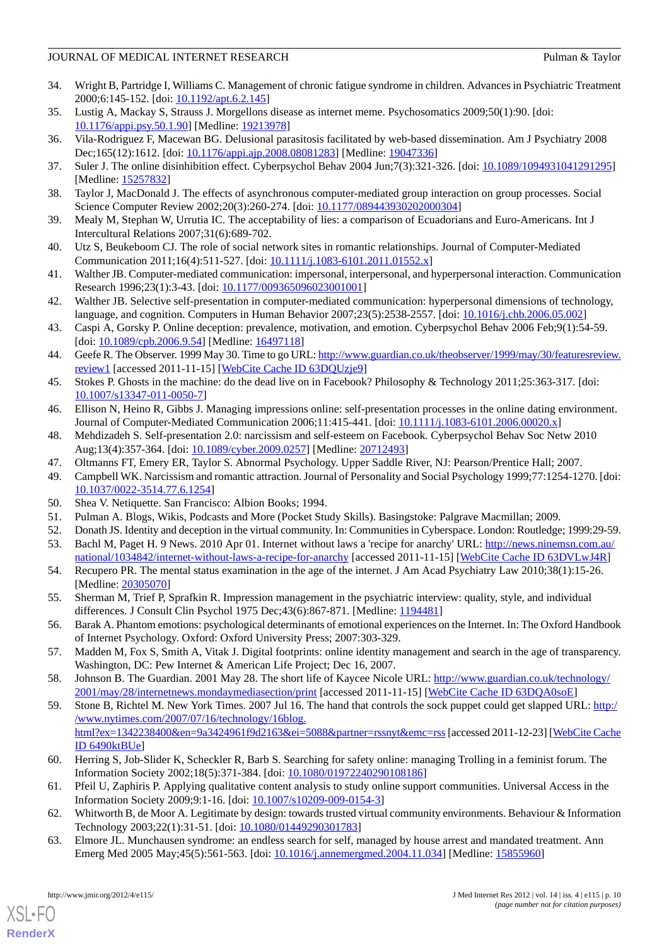## JOURNAL OF MEDICAL INTERNET RESEARCH **Pulman & Taylor** Pulman & Taylor

- <span id="page-9-0"></span>34. Wright B, Partridge I, Williams C. Management of chronic fatigue syndrome in children. Advances in Psychiatric Treatment 2000;6:145-152. [doi: [10.1192/apt.6.2.145\]](http://dx.doi.org/10.1192/apt.6.2.145)
- <span id="page-9-2"></span><span id="page-9-1"></span>35. Lustig A, Mackay S, Strauss J. Morgellons disease as internet meme. Psychosomatics 2009;50(1):90. [doi: [10.1176/appi.psy.50.1.90](http://dx.doi.org/10.1176/appi.psy.50.1.90)] [Medline: [19213978](http://www.ncbi.nlm.nih.gov/entrez/query.fcgi?cmd=Retrieve&db=PubMed&list_uids=19213978&dopt=Abstract)]
- <span id="page-9-3"></span>36. Vila-Rodriguez F, Macewan BG. Delusional parasitosis facilitated by web-based dissemination. Am J Psychiatry 2008 Dec;165(12):1612. [doi: [10.1176/appi.ajp.2008.08081283](http://dx.doi.org/10.1176/appi.ajp.2008.08081283)] [Medline: [19047336](http://www.ncbi.nlm.nih.gov/entrez/query.fcgi?cmd=Retrieve&db=PubMed&list_uids=19047336&dopt=Abstract)]
- <span id="page-9-4"></span>37. Suler J. The online disinhibition effect. Cyberpsychol Behav 2004 Jun;7(3):321-326. [doi: [10.1089/1094931041291295\]](http://dx.doi.org/10.1089/1094931041291295) [Medline: [15257832](http://www.ncbi.nlm.nih.gov/entrez/query.fcgi?cmd=Retrieve&db=PubMed&list_uids=15257832&dopt=Abstract)]
- <span id="page-9-5"></span>38. Taylor J, MacDonald J. The effects of asynchronous computer-mediated group interaction on group processes. Social Science Computer Review 2002;20(3):260-274. [doi: [10.1177/089443930202000304](http://dx.doi.org/10.1177/089443930202000304)]
- <span id="page-9-6"></span>39. Mealy M, Stephan W, Urrutia IC. The acceptability of lies: a comparison of Ecuadorians and Euro-Americans. Int J Intercultural Relations 2007;31(6):689-702.
- <span id="page-9-7"></span>40. Utz S, Beukeboom CJ. The role of social network sites in romantic relationships. Journal of Computer-Mediated Communication 2011;16(4):511-527. [doi: [10.1111/j.1083-6101.2011.01552.x\]](http://dx.doi.org/10.1111/j.1083-6101.2011.01552.x)
- <span id="page-9-8"></span>41. Walther JB. Computer-mediated communication: impersonal, interpersonal, and hyperpersonal interaction. Communication Research 1996;23(1):3-43. [doi: [10.1177/009365096023001001\]](http://dx.doi.org/10.1177/009365096023001001)
- <span id="page-9-9"></span>42. Walther JB. Selective self-presentation in computer-mediated communication: hyperpersonal dimensions of technology, language, and cognition. Computers in Human Behavior 2007;23(5):2538-2557. [doi: [10.1016/j.chb.2006.05.002\]](http://dx.doi.org/10.1016/j.chb.2006.05.002)
- <span id="page-9-10"></span>43. Caspi A, Gorsky P. Online deception: prevalence, motivation, and emotion. Cyberpsychol Behav 2006 Feb;9(1):54-59. [doi: [10.1089/cpb.2006.9.54\]](http://dx.doi.org/10.1089/cpb.2006.9.54) [Medline: [16497118\]](http://www.ncbi.nlm.nih.gov/entrez/query.fcgi?cmd=Retrieve&db=PubMed&list_uids=16497118&dopt=Abstract)
- <span id="page-9-12"></span><span id="page-9-11"></span>44. Geefe R. The Observer. 1999 May 30. Time to go URL: [http://www.guardian.co.uk/theobserver/1999/may/30/featuresreview.](http://www.guardian.co.uk/theobserver/1999/may/30/featuresreview.review1) [review1](http://www.guardian.co.uk/theobserver/1999/may/30/featuresreview.review1) [accessed 2011-11-15] [\[WebCite Cache ID 63DQUzje9](http://www.webcitation.org/

                                    63DQUzje9)]
- <span id="page-9-14"></span>45. Stokes P. Ghosts in the machine: do the dead live on in Facebook? Philosophy & Technology 2011;25:363-317. [doi: [10.1007/s13347-011-0050-7\]](http://dx.doi.org/10.1007/s13347-011-0050-7)
- <span id="page-9-13"></span>46. Ellison N, Heino R, Gibbs J. Managing impressions online: self-presentation processes in the online dating environment. Journal of Computer-Mediated Communication 2006;11:415-441. [doi: [10.1111/j.1083-6101.2006.00020.x](http://dx.doi.org/10.1111/j.1083-6101.2006.00020.x)]
- <span id="page-9-15"></span>48. Mehdizadeh S. Self-presentation 2.0: narcissism and self-esteem on Facebook. Cyberpsychol Behav Soc Netw 2010 Aug;13(4):357-364. [doi: [10.1089/cyber.2009.0257](http://dx.doi.org/10.1089/cyber.2009.0257)] [Medline: [20712493](http://www.ncbi.nlm.nih.gov/entrez/query.fcgi?cmd=Retrieve&db=PubMed&list_uids=20712493&dopt=Abstract)]
- <span id="page-9-17"></span><span id="page-9-16"></span>47. Oltmanns FT, Emery ER, Taylor S. Abnormal Psychology. Upper Saddle River, NJ: Pearson/Prentice Hall; 2007.
- <span id="page-9-18"></span>49. Campbell WK. Narcissism and romantic attraction. Journal of Personality and Social Psychology 1999;77:1254-1270. [doi: [10.1037/0022-3514.77.6.1254\]](http://dx.doi.org/10.1037/0022-3514.77.6.1254)
- <span id="page-9-19"></span>50. Shea V. Netiquette. San Francisco: Albion Books; 1994.
- <span id="page-9-20"></span>51. Pulman A. Blogs, Wikis, Podcasts and More (Pocket Study Skills). Basingstoke: Palgrave Macmillan; 2009.
- 52. Donath JS. Identity and deception in the virtual community. In: Communities in Cyberspace. London: Routledge; 1999:29-59.
- <span id="page-9-21"></span>53. Bachl M, Paget H. 9 News. 2010 Apr 01. Internet without laws a 'recipe for anarchy' URL: [http://news.ninemsn.com.au/](http://news.ninemsn.com.au/national/1034842/internet-without-laws-a-recipe-for-anarchy) [national/1034842/internet-without-laws-a-recipe-for-anarchy](http://news.ninemsn.com.au/national/1034842/internet-without-laws-a-recipe-for-anarchy) [accessed 2011-11-15] [[WebCite Cache ID 63DVLwJ4R](http://www.webcitation.org/

                                    63DVLwJ4R)]
- <span id="page-9-22"></span>54. Recupero PR. The mental status examination in the age of the internet. J Am Acad Psychiatry Law 2010;38(1):15-26. [Medline: [20305070](http://www.ncbi.nlm.nih.gov/entrez/query.fcgi?cmd=Retrieve&db=PubMed&list_uids=20305070&dopt=Abstract)]
- <span id="page-9-23"></span>55. Sherman M, Trief P, Sprafkin R. Impression management in the psychiatric interview: quality, style, and individual differences. J Consult Clin Psychol 1975 Dec;43(6):867-871. [Medline: [1194481\]](http://www.ncbi.nlm.nih.gov/entrez/query.fcgi?cmd=Retrieve&db=PubMed&list_uids=1194481&dopt=Abstract)
- <span id="page-9-25"></span><span id="page-9-24"></span>56. Barak A. Phantom emotions: psychological determinants of emotional experiences on the Internet. In: The Oxford Handbook of Internet Psychology. Oxford: Oxford University Press; 2007:303-329.
- 57. Madden M, Fox S, Smith A, Vitak J. Digital footprints: online identity management and search in the age of transparency. Washington, DC: Pew Internet & American Life Project; Dec 16, 2007.
- <span id="page-9-26"></span>58. Johnson B. The Guardian. 2001 May 28. The short life of Kaycee Nicole URL: [http://www.guardian.co.uk/technology/](http://www.guardian.co.uk/technology/2001/may/28/internetnews.mondaymediasection/print) [2001/may/28/internetnews.mondaymediasection/print](http://www.guardian.co.uk/technology/2001/may/28/internetnews.mondaymediasection/print) [accessed 2011-11-15] [\[WebCite Cache ID 63DQA0soE\]](http://www.webcitation.org/

                                    63DQA0soE)
- <span id="page-9-27"></span>59. Stone B, Richtel M. New York Times. 2007 Jul 16. The hand that controls the sock puppet could get slapped URL: [http:/](http://www.nytimes.com/2007/07/16/technology/16blog.html?ex=1342238400&en=9a3424961f9d2163&ei=5088&partner=rssnyt&emc=rss) [/www.nytimes.com/2007/07/16/technology/16blog.](http://www.nytimes.com/2007/07/16/technology/16blog.html?ex=1342238400&en=9a3424961f9d2163&ei=5088&partner=rssnyt&emc=rss) [html?ex=1342238400&en=9a3424961f9d2163&ei=5088&partner=rssnyt&emc=rss](http://www.nytimes.com/2007/07/16/technology/16blog.html?ex=1342238400&en=9a3424961f9d2163&ei=5088&partner=rssnyt&emc=rss)[accessed 2011-12-23] [\[WebCite Cache](http://www.webcitation.org/

                                    6490ktBUe) [ID 6490ktBUe\]](http://www.webcitation.org/

                                    6490ktBUe)
- <span id="page-9-29"></span><span id="page-9-28"></span>60. Herring S, Job-Slider K, Scheckler R, Barb S. Searching for safety online: managing Trolling in a feminist forum. The Information Society 2002;18(5):371-384. [doi: [10.1080/01972240290108186](http://dx.doi.org/10.1080/01972240290108186)]
- 61. Pfeil U, Zaphiris P. Applying qualitative content analysis to study online support communities. Universal Access in the Information Society 2009;9:1-16. [doi: [10.1007/s10209-009-0154-3\]](http://dx.doi.org/10.1007/s10209-009-0154-3)
- 62. Whitworth B, de Moor A. Legitimate by design: towards trusted virtual community environments. Behaviour & Information Technology 2003;22(1):31-51. [doi: [10.1080/01449290301783](http://dx.doi.org/10.1080/01449290301783)]
- 63. Elmore JL. Munchausen syndrome: an endless search for self, managed by house arrest and mandated treatment. Ann Emerg Med 2005 May;45(5):561-563. [doi: [10.1016/j.annemergmed.2004.11.034\]](http://dx.doi.org/10.1016/j.annemergmed.2004.11.034) [Medline: [15855960](http://www.ncbi.nlm.nih.gov/entrez/query.fcgi?cmd=Retrieve&db=PubMed&list_uids=15855960&dopt=Abstract)]

[XSL](http://www.w3.org/Style/XSL)•FO **[RenderX](http://www.renderx.com/)**